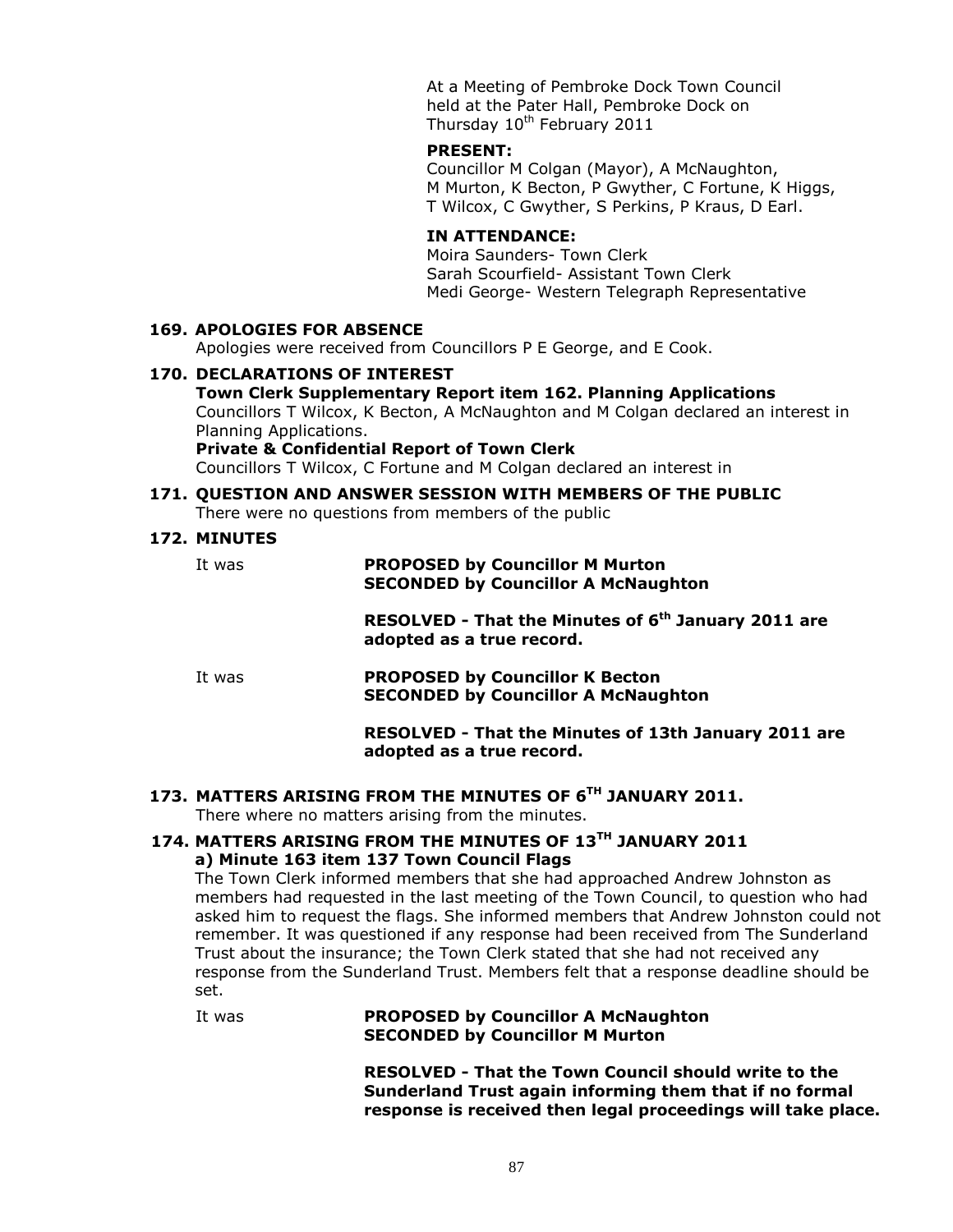At a Meeting of Pembroke Dock Town Council held at the Pater Hall, Pembroke Dock on Thursday 10<sup>th</sup> February 2011

# **PRESENT:**

Councillor M Colgan (Mayor), A McNaughton, M Murton, K Becton, P Gwyther, C Fortune, K Higgs, T Wilcox, C Gwyther, S Perkins, P Kraus, D Earl.

#### **IN ATTENDANCE:**

Moira Saunders- Town Clerk Sarah Scourfield- Assistant Town Clerk Medi George- Western Telegraph Representative

#### **169. APOLOGIES FOR ABSENCE**

Apologies were received from Councillors P E George, and E Cook.

#### **170. DECLARATIONS OF INTEREST**

**Town Clerk Supplementary Report item 162. Planning Applications** Councillors T Wilcox, K Becton, A McNaughton and M Colgan declared an interest in Planning Applications.

**Private & Confidential Report of Town Clerk** Councillors T Wilcox, C Fortune and M Colgan declared an interest in

#### **171. QUESTION AND ANSWER SESSION WITH MEMBERS OF THE PUBLIC** There were no questions from members of the public

# **172. MINUTES**

It was **PROPOSED by Councillor M Murton SECONDED by Councillor A McNaughton**

> **RESOLVED - That the Minutes of 6 th January 2011 are adopted as a true record.**

It was **PROPOSED by Councillor K Becton SECONDED by Councillor A McNaughton**

#### **RESOLVED - That the Minutes of 13th January 2011 are adopted as a true record.**

#### **173. MATTERS ARISING FROM THE MINUTES OF 6TH JANUARY 2011.**

There where no matters arising from the minutes.

## **174. MATTERS ARISING FROM THE MINUTES OF 13TH JANUARY 2011 a) Minute 163 item 137 Town Council Flags**

The Town Clerk informed members that she had approached Andrew Johnston as members had requested in the last meeting of the Town Council, to question who had asked him to request the flags. She informed members that Andrew Johnston could not remember. It was questioned if any response had been received from The Sunderland Trust about the insurance; the Town Clerk stated that she had not received any response from the Sunderland Trust. Members felt that a response deadline should be set.

It was **PROPOSED by Councillor A McNaughton SECONDED by Councillor M Murton**

> **RESOLVED - That the Town Council should write to the Sunderland Trust again informing them that if no formal response is received then legal proceedings will take place.**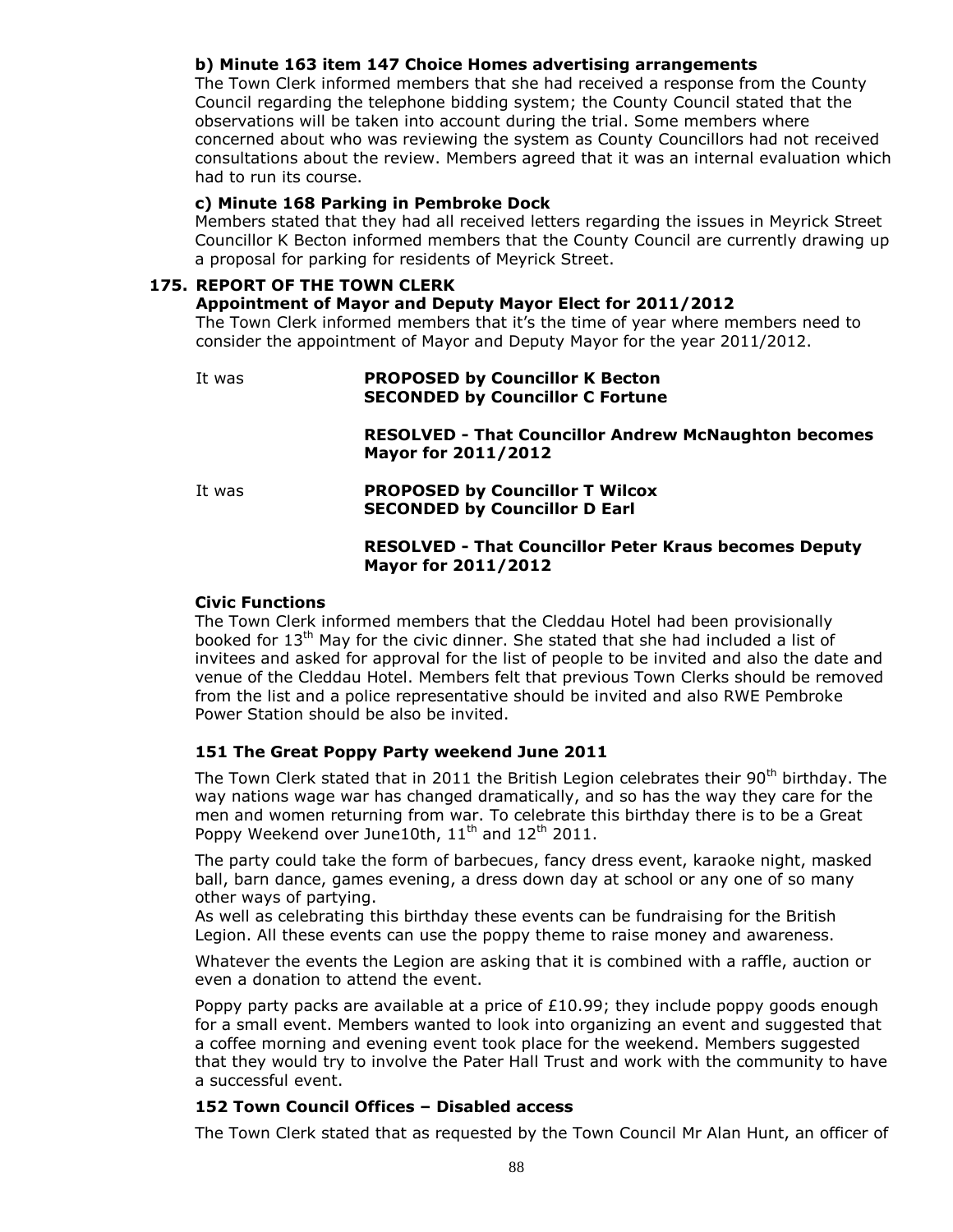# **b) Minute 163 item 147 Choice Homes advertising arrangements**

The Town Clerk informed members that she had received a response from the County Council regarding the telephone bidding system; the County Council stated that the observations will be taken into account during the trial. Some members where concerned about who was reviewing the system as County Councillors had not received consultations about the review. Members agreed that it was an internal evaluation which had to run its course.

#### **c) Minute 168 Parking in Pembroke Dock**

Members stated that they had all received letters regarding the issues in Meyrick Street Councillor K Becton informed members that the County Council are currently drawing up a proposal for parking for residents of Meyrick Street.

#### **175. REPORT OF THE TOWN CLERK**

#### **Appointment of Mayor and Deputy Mayor Elect for 2011/2012**

The Town Clerk informed members that it's the time of year where members need to consider the appointment of Mayor and Deputy Mayor for the year 2011/2012.

# It was **PROPOSED by Councillor K Becton SECONDED by Councillor C Fortune RESOLVED - That Councillor Andrew McNaughton becomes Mayor for 2011/2012** It was **PROPOSED by Councillor T Wilcox SECONDED by Councillor D Earl RESOLVED - That Councillor Peter Kraus becomes Deputy Mayor for 2011/2012**

#### **Civic Functions**

The Town Clerk informed members that the Cleddau Hotel had been provisionally booked for 13th May for the civic dinner. She stated that she had included a list of invitees and asked for approval for the list of people to be invited and also the date and venue of the Cleddau Hotel. Members felt that previous Town Clerks should be removed from the list and a police representative should be invited and also RWE Pembroke Power Station should be also be invited.

## **151 The Great Poppy Party weekend June 2011**

The Town Clerk stated that in 2011 the British Legion celebrates their 90<sup>th</sup> birthday. The way nations wage war has changed dramatically, and so has the way they care for the men and women returning from war. To celebrate this birthday there is to be a Great Poppy Weekend over June10th,  $11<sup>th</sup>$  and  $12<sup>th</sup>$  2011.

The party could take the form of barbecues, fancy dress event, karaoke night, masked ball, barn dance, games evening, a dress down day at school or any one of so many other ways of partying.

As well as celebrating this birthday these events can be fundraising for the British Legion. All these events can use the poppy theme to raise money and awareness.

Whatever the events the Legion are asking that it is combined with a raffle, auction or even a donation to attend the event.

Poppy party packs are available at a price of  $£10.99$ ; they include poppy goods enough for a small event. Members wanted to look into organizing an event and suggested that a coffee morning and evening event took place for the weekend. Members suggested that they would try to involve the Pater Hall Trust and work with the community to have a successful event.

#### **152 Town Council Offices – Disabled access**

The Town Clerk stated that as requested by the Town Council Mr Alan Hunt, an officer of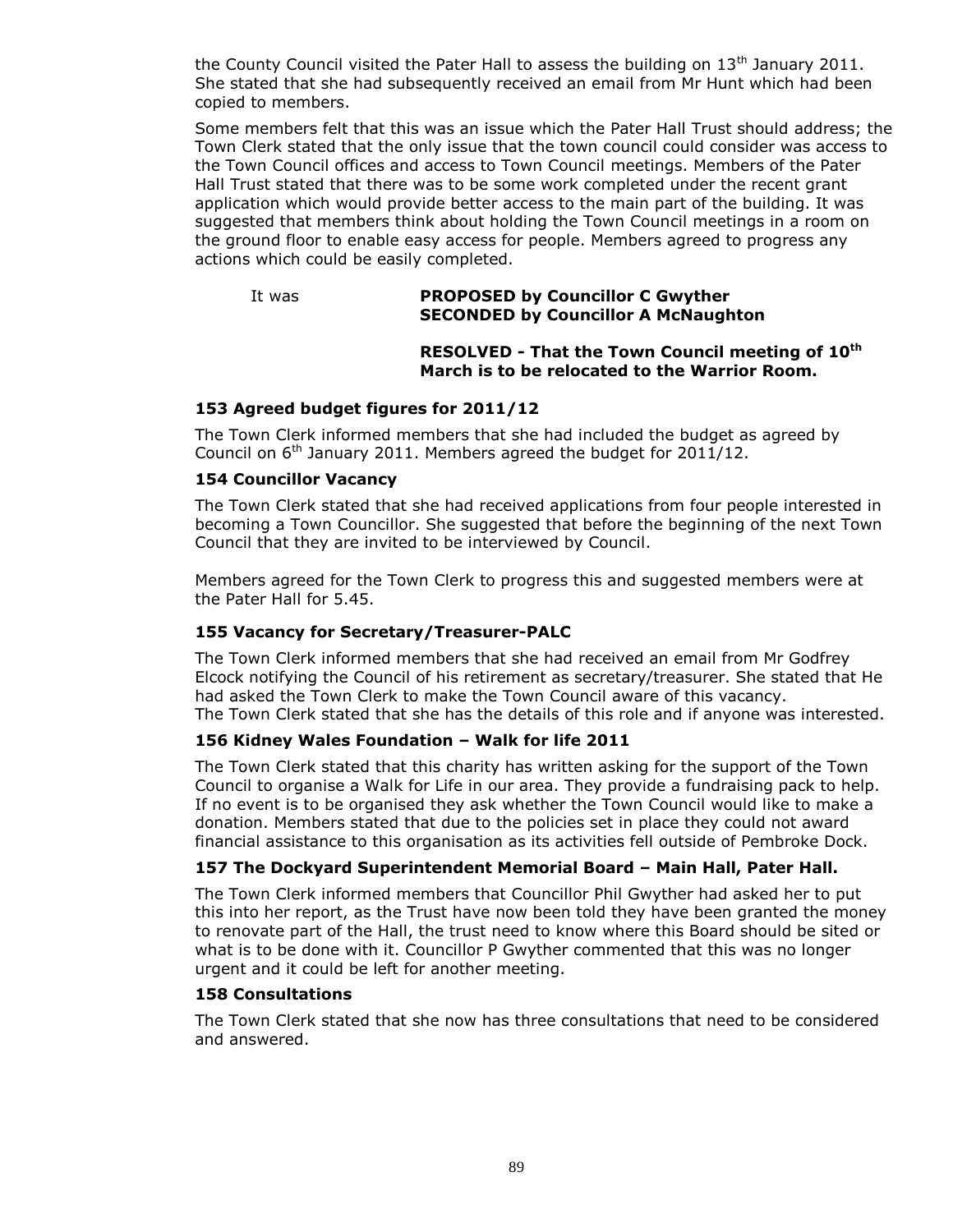the County Council visited the Pater Hall to assess the building on  $13<sup>th</sup>$  January 2011. She stated that she had subsequently received an email from Mr Hunt which had been copied to members.

Some members felt that this was an issue which the Pater Hall Trust should address; the Town Clerk stated that the only issue that the town council could consider was access to the Town Council offices and access to Town Council meetings. Members of the Pater Hall Trust stated that there was to be some work completed under the recent grant application which would provide better access to the main part of the building. It was suggested that members think about holding the Town Council meetings in a room on the ground floor to enable easy access for people. Members agreed to progress any actions which could be easily completed.

#### It was **PROPOSED by Councillor C Gwyther SECONDED by Councillor A McNaughton**

## **RESOLVED - That the Town Council meeting of 10th March is to be relocated to the Warrior Room.**

# **153 Agreed budget figures for 2011/12**

The Town Clerk informed members that she had included the budget as agreed by Council on  $6<sup>th</sup>$  January 2011. Members agreed the budget for 2011/12.

# **154 Councillor Vacancy**

The Town Clerk stated that she had received applications from four people interested in becoming a Town Councillor. She suggested that before the beginning of the next Town Council that they are invited to be interviewed by Council.

Members agreed for the Town Clerk to progress this and suggested members were at the Pater Hall for 5.45.

# **155 Vacancy for Secretary/Treasurer-PALC**

The Town Clerk informed members that she had received an email from Mr Godfrey Elcock notifying the Council of his retirement as secretary/treasurer. She stated that He had asked the Town Clerk to make the Town Council aware of this vacancy. The Town Clerk stated that she has the details of this role and if anyone was interested.

#### **156 Kidney Wales Foundation – Walk for life 2011**

The Town Clerk stated that this charity has written asking for the support of the Town Council to organise a Walk for Life in our area. They provide a fundraising pack to help. If no event is to be organised they ask whether the Town Council would like to make a donation. Members stated that due to the policies set in place they could not award financial assistance to this organisation as its activities fell outside of Pembroke Dock.

## **157 The Dockyard Superintendent Memorial Board – Main Hall, Pater Hall.**

The Town Clerk informed members that Councillor Phil Gwyther had asked her to put this into her report, as the Trust have now been told they have been granted the money to renovate part of the Hall, the trust need to know where this Board should be sited or what is to be done with it. Councillor P Gwyther commented that this was no longer urgent and it could be left for another meeting.

#### **158 Consultations**

The Town Clerk stated that she now has three consultations that need to be considered and answered.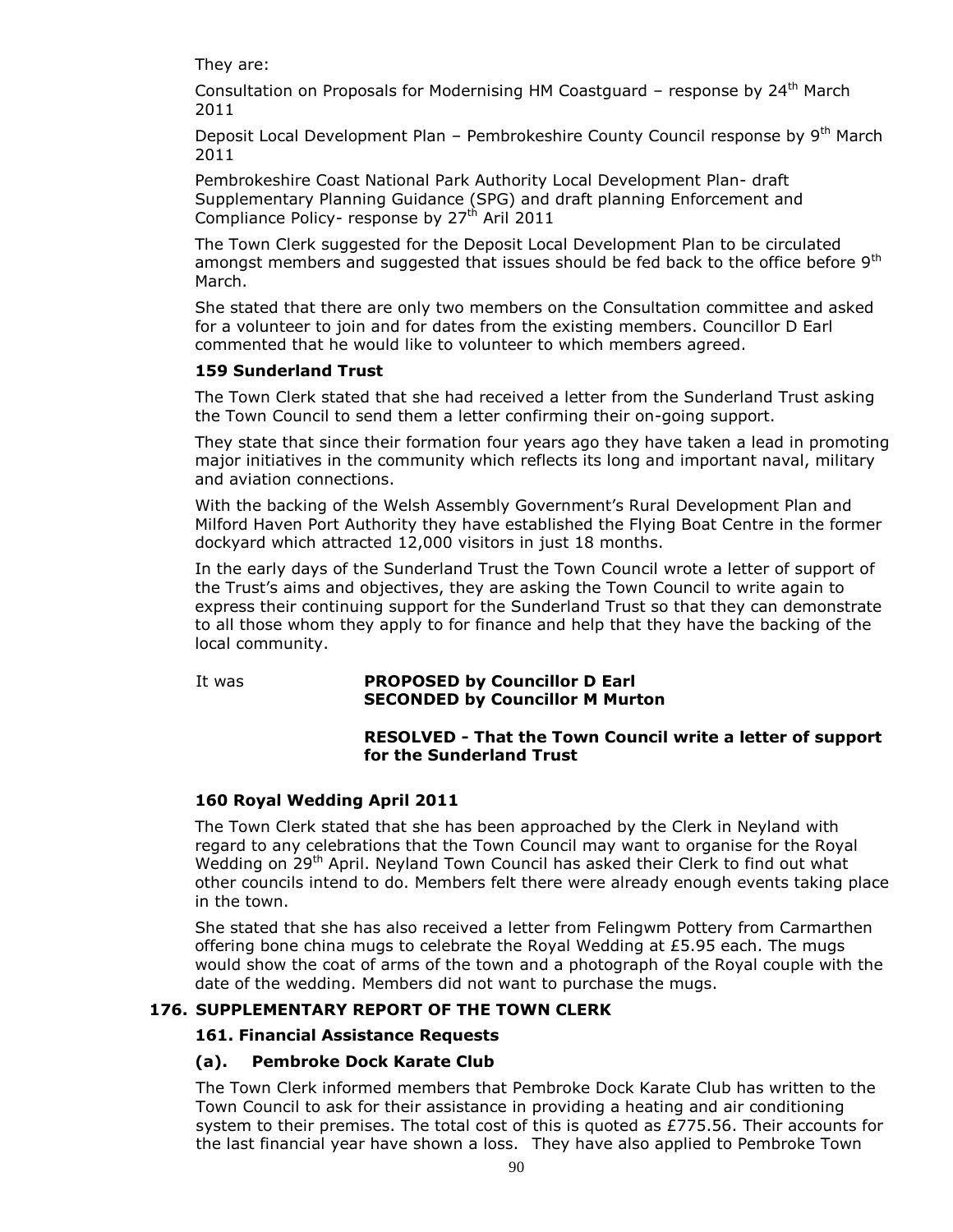They are:

Consultation on Proposals for Modernising HM Coastguard - response by 24<sup>th</sup> March 2011

Deposit Local Development Plan - Pembrokeshire County Council response by 9<sup>th</sup> March 2011

Pembrokeshire Coast National Park Authority Local Development Plan- draft Supplementary Planning Guidance (SPG) and draft planning Enforcement and Compliance Policy- response by  $27<sup>th</sup>$  Aril 2011

The Town Clerk suggested for the Deposit Local Development Plan to be circulated amongst members and suggested that issues should be fed back to the office before  $9<sup>th</sup>$ March.

She stated that there are only two members on the Consultation committee and asked for a volunteer to join and for dates from the existing members. Councillor D Earl commented that he would like to volunteer to which members agreed.

# **159 Sunderland Trust**

The Town Clerk stated that she had received a letter from the Sunderland Trust asking the Town Council to send them a letter confirming their on-going support.

They state that since their formation four years ago they have taken a lead in promoting major initiatives in the community which reflects its long and important naval, military and aviation connections.

With the backing of the Welsh Assembly Government's Rural Development Plan and Milford Haven Port Authority they have established the Flying Boat Centre in the former dockyard which attracted 12,000 visitors in just 18 months.

In the early days of the Sunderland Trust the Town Council wrote a letter of support of the Trust's aims and objectives, they are asking the Town Council to write again to express their continuing support for the Sunderland Trust so that they can demonstrate to all those whom they apply to for finance and help that they have the backing of the local community.

# It was **PROPOSED by Councillor D Earl SECONDED by Councillor M Murton**

# **RESOLVED - That the Town Council write a letter of support for the Sunderland Trust**

# **160 Royal Wedding April 2011**

The Town Clerk stated that she has been approached by the Clerk in Neyland with regard to any celebrations that the Town Council may want to organise for the Royal Wedding on 29<sup>th</sup> April. Neyland Town Council has asked their Clerk to find out what other councils intend to do. Members felt there were already enough events taking place in the town.

She stated that she has also received a letter from Felingwm Pottery from Carmarthen offering bone china mugs to celebrate the Royal Wedding at £5.95 each. The mugs would show the coat of arms of the town and a photograph of the Royal couple with the date of the wedding. Members did not want to purchase the mugs.

# **176. SUPPLEMENTARY REPORT OF THE TOWN CLERK**

# **161. Financial Assistance Requests**

# **(a). Pembroke Dock Karate Club**

The Town Clerk informed members that Pembroke Dock Karate Club has written to the Town Council to ask for their assistance in providing a heating and air conditioning system to their premises. The total cost of this is quoted as £775.56. Their accounts for the last financial year have shown a loss. They have also applied to Pembroke Town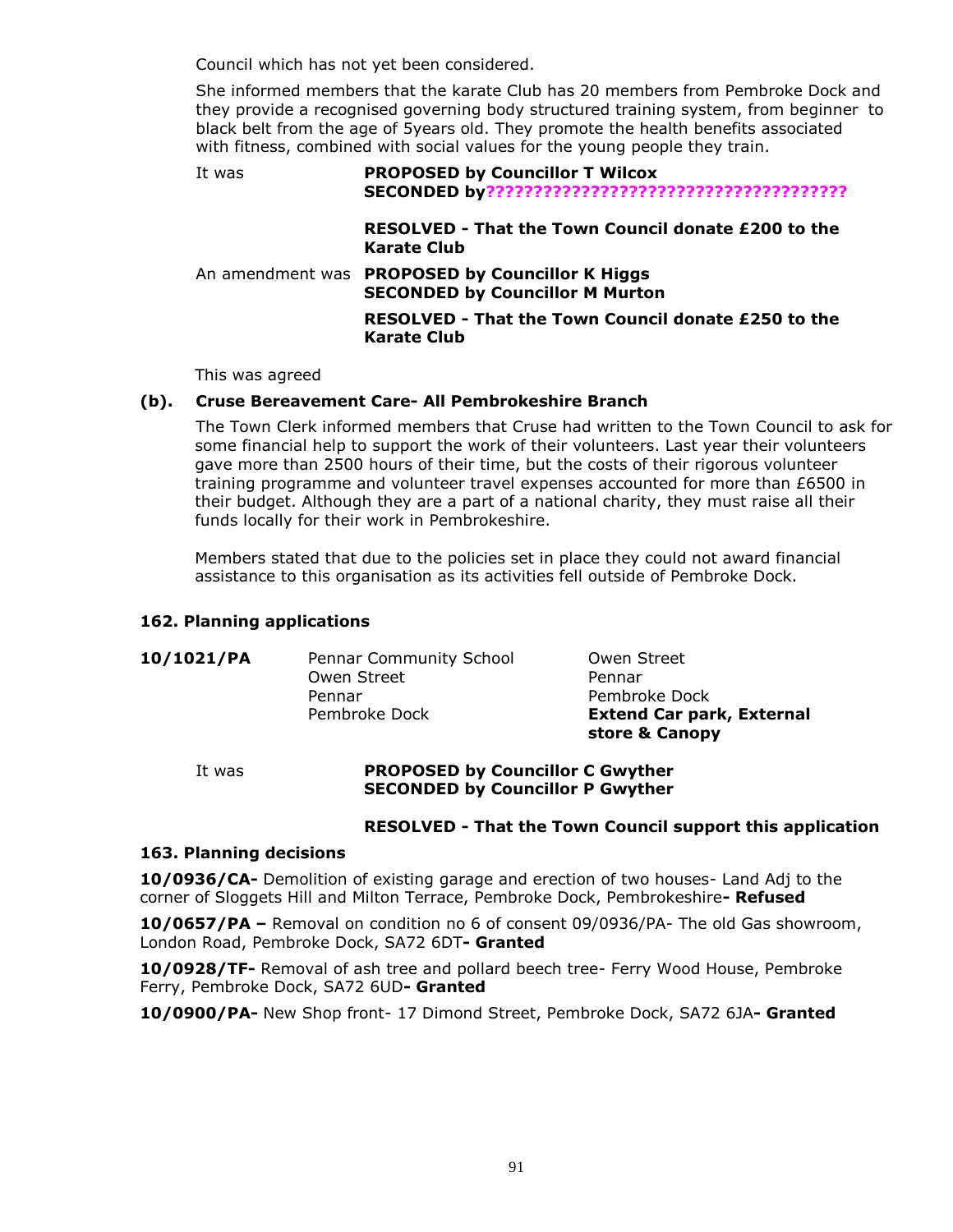Council which has not yet been considered.

She informed members that the karate Club has 20 members from Pembroke Dock and they provide a recognised governing body structured training system, from beginner to black belt from the age of 5years old. They promote the health benefits associated with fitness, combined with social values for the young people they train.

| It was | <b>PROPOSED by Councillor T Wilcox</b>                                                    |
|--------|-------------------------------------------------------------------------------------------|
|        | RESOLVED - That the Town Council donate £200 to the<br>Karate Club                        |
|        | An amendment was PROPOSED by Councillor K Higgs<br><b>SECONDED by Councillor M Murton</b> |
|        | RESOLVED - That the Town Council donate £250 to the<br>Karate Club                        |

This was agreed

#### **(b). Cruse Bereavement Care- All Pembrokeshire Branch**

The Town Clerk informed members that Cruse had written to the Town Council to ask for some financial help to support the work of their volunteers. Last year their volunteers gave more than 2500 hours of their time, but the costs of their rigorous volunteer training programme and volunteer travel expenses accounted for more than £6500 in their budget. Although they are a part of a national charity, they must raise all their funds locally for their work in Pembrokeshire.

Members stated that due to the policies set in place they could not award financial assistance to this organisation as its activities fell outside of Pembroke Dock.

#### **162. Planning applications**

|            |                                | store & Canopy                   |
|------------|--------------------------------|----------------------------------|
|            | Pembroke Dock                  | <b>Extend Car park, External</b> |
|            | Pennar                         | Pembroke Dock                    |
|            | Owen Street                    | Pennar                           |
| 10/1021/PA | <b>Pennar Community School</b> | Owen Street                      |

#### It was **PROPOSED by Councillor C Gwyther SECONDED by Councillor P Gwyther**

#### **RESOLVED - That the Town Council support this application**

#### **163. Planning decisions**

**10/0936/CA-** Demolition of existing garage and erection of two houses- Land Adj to the corner of Sloggets Hill and Milton Terrace, Pembroke Dock, Pembrokeshire**- Refused**

**10/0657/PA –** Removal on condition no 6 of consent 09/0936/PA- The old Gas showroom, London Road, Pembroke Dock, SA72 6DT**- Granted**

**10/0928/TF-** Removal of ash tree and pollard beech tree- Ferry Wood House, Pembroke Ferry, Pembroke Dock, SA72 6UD**- Granted**

**10/0900/PA-** New Shop front- 17 Dimond Street, Pembroke Dock, SA72 6JA**- Granted**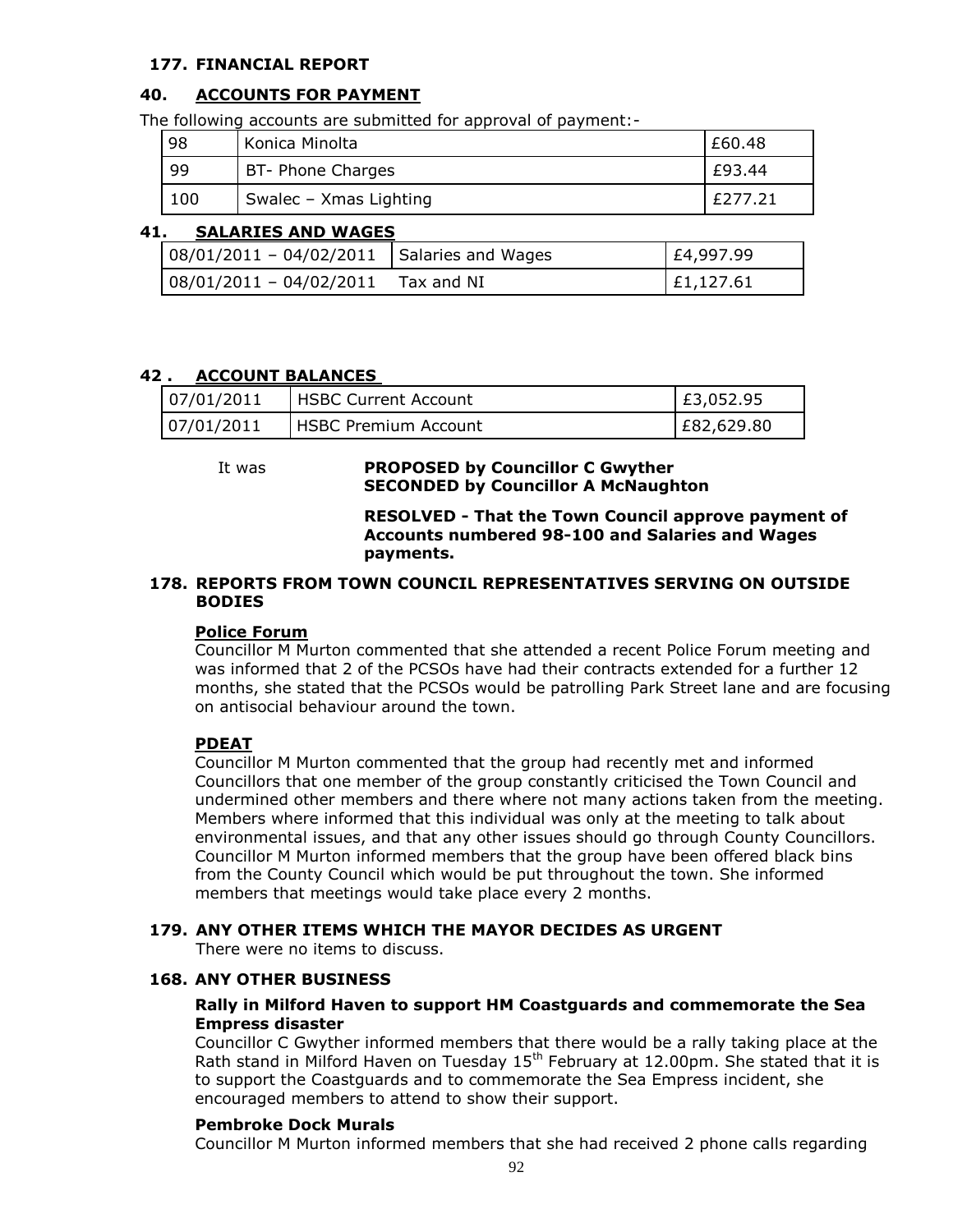# **177. FINANCIAL REPORT**

# **40. ACCOUNTS FOR PAYMENT**

The following accounts are submitted for approval of payment:-

| 98  | Konica Minolta         | £60.48  |
|-----|------------------------|---------|
| -99 | BT- Phone Charges      | £93.44  |
| 100 | Swalec - Xmas Lighting | £277.21 |

# **41. SALARIES AND WAGES**

| 08/01/2011 - 04/02/2011 Salaries and Wages | £4,997.99 |
|--------------------------------------------|-----------|
| $08/01/2011 - 04/02/2011$ Tax and NI       | £1,127.61 |

# **42 . ACCOUNT BALANCES**

| 07/01/2011 | <b>HSBC Current Account</b>   | E3,052.95  |
|------------|-------------------------------|------------|
| 07/01/2011 | <b>I HSBC Premium Account</b> | E82,629.80 |

## It was **PROPOSED by Councillor C Gwyther SECONDED by Councillor A McNaughton**

#### **RESOLVED - That the Town Council approve payment of Accounts numbered 98-100 and Salaries and Wages payments.**

#### **178. REPORTS FROM TOWN COUNCIL REPRESENTATIVES SERVING ON OUTSIDE BODIES**

#### **Police Forum**

Councillor M Murton commented that she attended a recent Police Forum meeting and was informed that 2 of the PCSOs have had their contracts extended for a further 12 months, she stated that the PCSOs would be patrolling Park Street lane and are focusing on antisocial behaviour around the town.

#### **PDEAT**

Councillor M Murton commented that the group had recently met and informed Councillors that one member of the group constantly criticised the Town Council and undermined other members and there where not many actions taken from the meeting. Members where informed that this individual was only at the meeting to talk about environmental issues, and that any other issues should go through County Councillors. Councillor M Murton informed members that the group have been offered black bins from the County Council which would be put throughout the town. She informed members that meetings would take place every 2 months.

#### **179. ANY OTHER ITEMS WHICH THE MAYOR DECIDES AS URGENT**

There were no items to discuss.

### **168. ANY OTHER BUSINESS**

#### **Rally in Milford Haven to support HM Coastguards and commemorate the Sea Empress disaster**

Councillor C Gwyther informed members that there would be a rally taking place at the Rath stand in Milford Haven on Tuesday  $15<sup>th</sup>$  February at 12.00pm. She stated that it is to support the Coastguards and to commemorate the Sea Empress incident, she encouraged members to attend to show their support.

#### **Pembroke Dock Murals**

Councillor M Murton informed members that she had received 2 phone calls regarding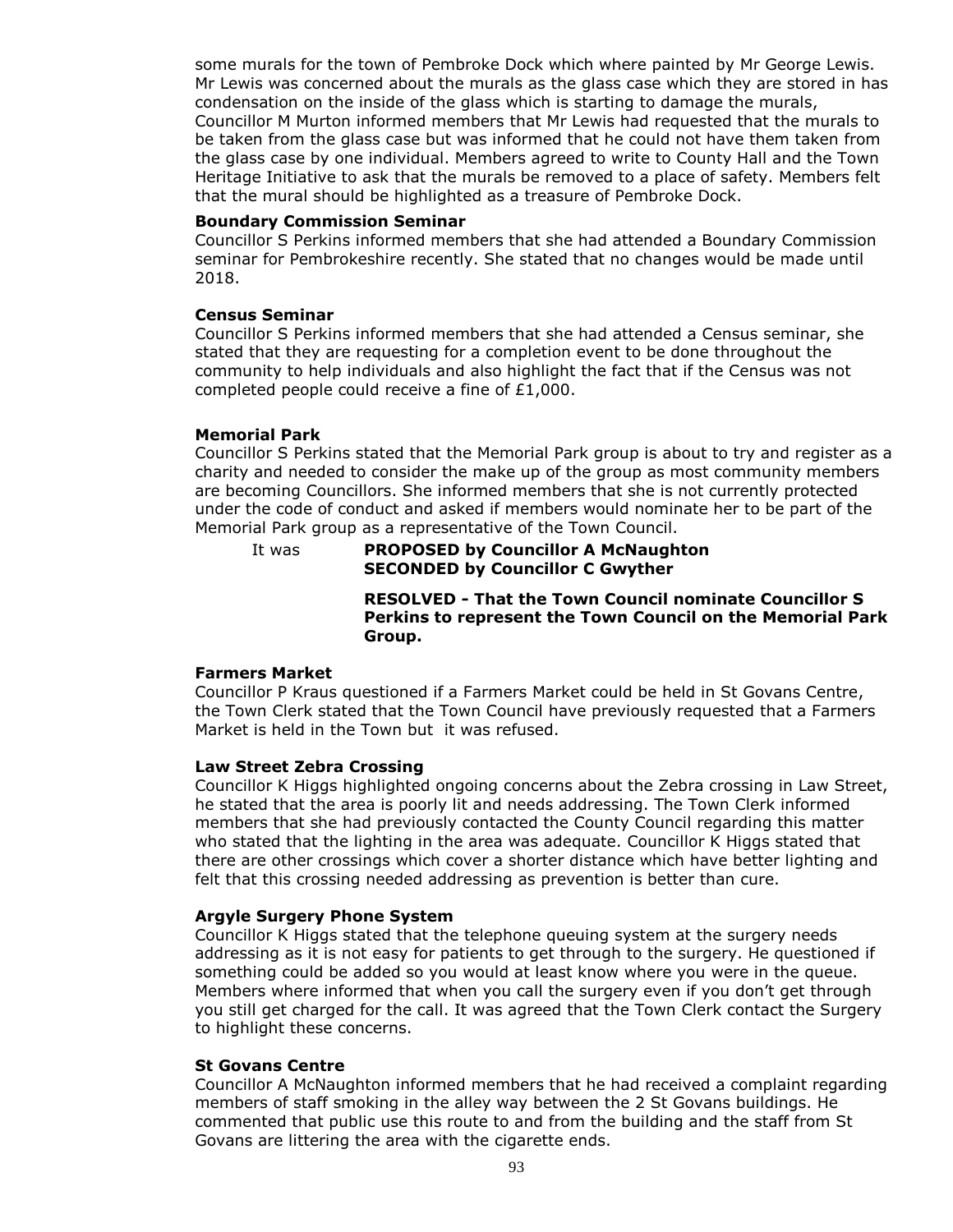some murals for the town of Pembroke Dock which where painted by Mr George Lewis. Mr Lewis was concerned about the murals as the glass case which they are stored in has condensation on the inside of the glass which is starting to damage the murals, Councillor M Murton informed members that Mr Lewis had requested that the murals to be taken from the glass case but was informed that he could not have them taken from the glass case by one individual. Members agreed to write to County Hall and the Town Heritage Initiative to ask that the murals be removed to a place of safety. Members felt that the mural should be highlighted as a treasure of Pembroke Dock.

#### **Boundary Commission Seminar**

Councillor S Perkins informed members that she had attended a Boundary Commission seminar for Pembrokeshire recently. She stated that no changes would be made until 2018.

#### **Census Seminar**

Councillor S Perkins informed members that she had attended a Census seminar, she stated that they are requesting for a completion event to be done throughout the community to help individuals and also highlight the fact that if the Census was not completed people could receive a fine of £1,000.

#### **Memorial Park**

Councillor S Perkins stated that the Memorial Park group is about to try and register as a charity and needed to consider the make up of the group as most community members are becoming Councillors. She informed members that she is not currently protected under the code of conduct and asked if members would nominate her to be part of the Memorial Park group as a representative of the Town Council.

It was **PROPOSED by Councillor A McNaughton SECONDED by Councillor C Gwyther**

> **RESOLVED - That the Town Council nominate Councillor S Perkins to represent the Town Council on the Memorial Park Group.**

#### **Farmers Market**

Councillor P Kraus questioned if a Farmers Market could be held in St Govans Centre, the Town Clerk stated that the Town Council have previously requested that a Farmers Market is held in the Town but it was refused.

#### **Law Street Zebra Crossing**

Councillor K Higgs highlighted ongoing concerns about the Zebra crossing in Law Street, he stated that the area is poorly lit and needs addressing. The Town Clerk informed members that she had previously contacted the County Council regarding this matter who stated that the lighting in the area was adequate. Councillor K Higgs stated that there are other crossings which cover a shorter distance which have better lighting and felt that this crossing needed addressing as prevention is better than cure.

#### **Argyle Surgery Phone System**

Councillor K Higgs stated that the telephone queuing system at the surgery needs addressing as it is not easy for patients to get through to the surgery. He questioned if something could be added so you would at least know where you were in the queue. Members where informed that when you call the surgery even if you don't get through you still get charged for the call. It was agreed that the Town Clerk contact the Surgery to highlight these concerns.

#### **St Govans Centre**

Councillor A McNaughton informed members that he had received a complaint regarding members of staff smoking in the alley way between the 2 St Govans buildings. He commented that public use this route to and from the building and the staff from St Govans are littering the area with the cigarette ends.